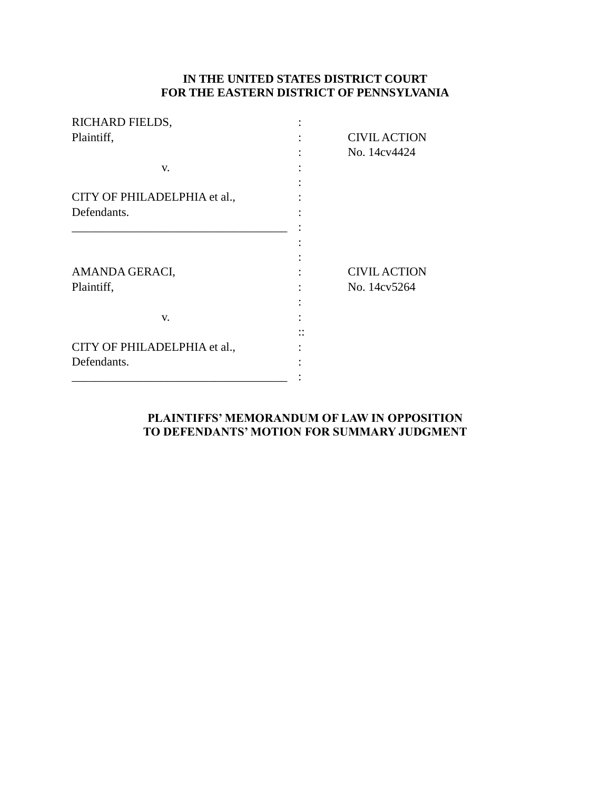# **IN THE UNITED STATES DISTRICT COURT FOR THE EASTERN DISTRICT OF PENNSYLVANIA**

| RICHARD FIELDS,              |                     |
|------------------------------|---------------------|
| Plaintiff,                   | <b>CIVIL ACTION</b> |
|                              | No. 14cv4424        |
| V.                           |                     |
|                              |                     |
| CITY OF PHILADELPHIA et al., |                     |
| Defendants.                  |                     |
|                              |                     |
|                              |                     |
|                              |                     |
| AMANDA GERACI,               | <b>CIVIL ACTION</b> |
| Plaintiff,                   | No. 14cv5264        |
|                              |                     |
| V.                           |                     |
|                              |                     |
| CITY OF PHILADELPHIA et al., |                     |
| Defendants.                  |                     |
|                              |                     |

## **PLAINTIFFS' MEMORANDUM OF LAW IN OPPOSITION TO DEFENDANTS' MOTION FOR SUMMARY JUDGMENT**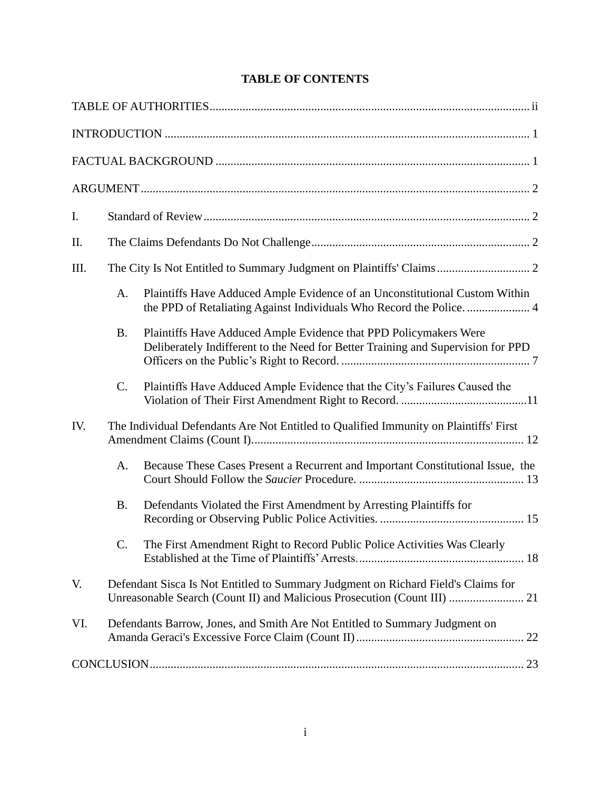| I.   |                                                                                       |                                                                                                                                                       |
|------|---------------------------------------------------------------------------------------|-------------------------------------------------------------------------------------------------------------------------------------------------------|
| Π.   |                                                                                       |                                                                                                                                                       |
| III. |                                                                                       | The City Is Not Entitled to Summary Judgment on Plaintiffs' Claims  2                                                                                 |
|      | A.                                                                                    | Plaintiffs Have Adduced Ample Evidence of an Unconstitutional Custom Within<br>the PPD of Retaliating Against Individuals Who Record the Police 4     |
|      | <b>B.</b>                                                                             | Plaintiffs Have Adduced Ample Evidence that PPD Policymakers Were<br>Deliberately Indifferent to the Need for Better Training and Supervision for PPD |
|      | C.                                                                                    | Plaintiffs Have Adduced Ample Evidence that the City's Failures Caused the                                                                            |
| IV.  | The Individual Defendants Are Not Entitled to Qualified Immunity on Plaintiffs' First |                                                                                                                                                       |
|      | A.                                                                                    | Because These Cases Present a Recurrent and Important Constitutional Issue, the                                                                       |
|      | <b>B.</b>                                                                             | Defendants Violated the First Amendment by Arresting Plaintiffs for                                                                                   |
|      | C.                                                                                    | The First Amendment Right to Record Public Police Activities Was Clearly                                                                              |
| V.   |                                                                                       | Defendant Sisca Is Not Entitled to Summary Judgment on Richard Field's Claims for                                                                     |
| VI.  |                                                                                       | Defendants Barrow, Jones, and Smith Are Not Entitled to Summary Judgment on                                                                           |
|      |                                                                                       |                                                                                                                                                       |

# **TABLE OF CONTENTS**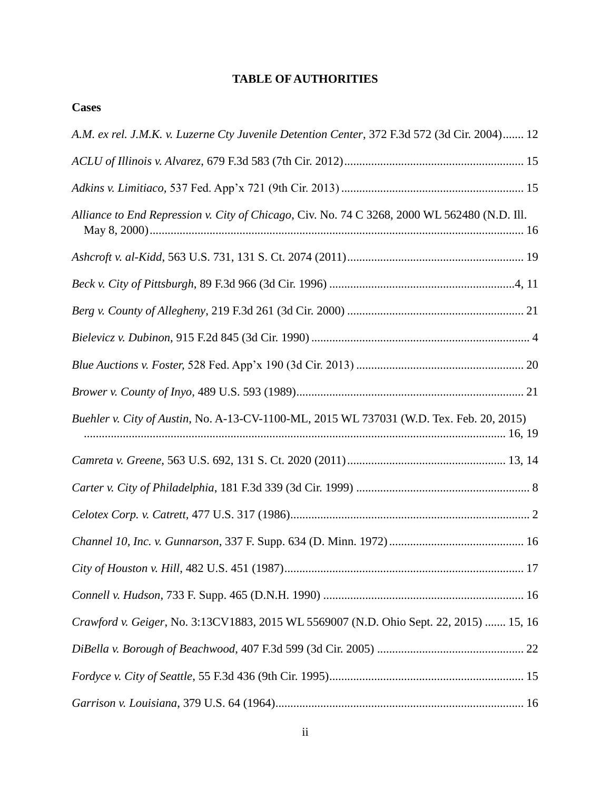# **TABLE OF AUTHORITIES**

**Cases**

| A.M. ex rel. J.M.K. v. Luzerne Cty Juvenile Detention Center, 372 F.3d 572 (3d Cir. 2004) 12 |
|----------------------------------------------------------------------------------------------|
|                                                                                              |
|                                                                                              |
| Alliance to End Repression v. City of Chicago, Civ. No. 74 C 3268, 2000 WL 562480 (N.D. Ill. |
|                                                                                              |
|                                                                                              |
|                                                                                              |
|                                                                                              |
|                                                                                              |
|                                                                                              |
| Buehler v. City of Austin, No. A-13-CV-1100-ML, 2015 WL 737031 (W.D. Tex. Feb. 20, 2015)     |
|                                                                                              |
|                                                                                              |
|                                                                                              |
|                                                                                              |
|                                                                                              |
|                                                                                              |
| Crawford v. Geiger, No. 3:13CV1883, 2015 WL 5569007 (N.D. Ohio Sept. 22, 2015)  15, 16       |
|                                                                                              |
|                                                                                              |
|                                                                                              |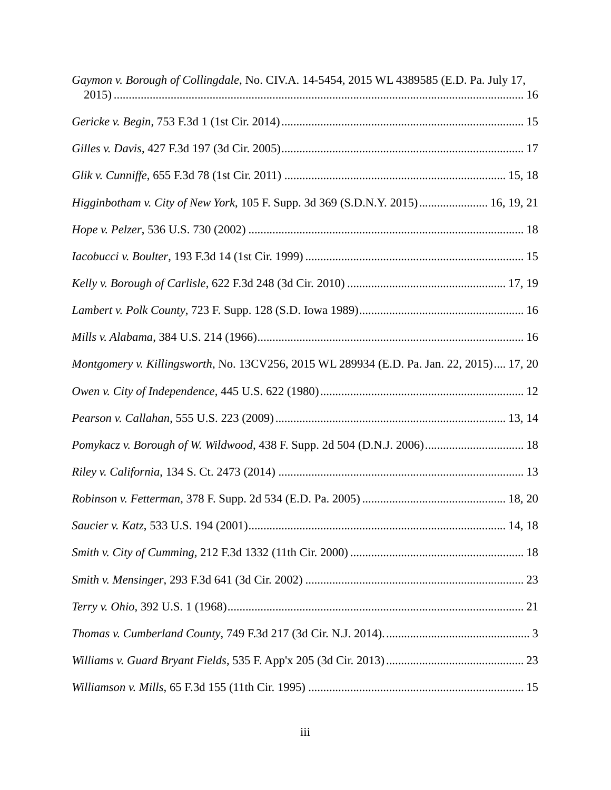| Gaymon v. Borough of Collingdale, No. CIV.A. 14-5454, 2015 WL 4389585 (E.D. Pa. July 17, |
|------------------------------------------------------------------------------------------|
|                                                                                          |
|                                                                                          |
|                                                                                          |
| Higginbotham v. City of New York, 105 F. Supp. 3d 369 (S.D.N.Y. 2015) 16, 19, 21         |
|                                                                                          |
|                                                                                          |
|                                                                                          |
|                                                                                          |
|                                                                                          |
| Montgomery v. Killingsworth, No. 13CV256, 2015 WL 289934 (E.D. Pa. Jan. 22, 2015) 17, 20 |
|                                                                                          |
|                                                                                          |
| Pomykacz v. Borough of W. Wildwood, 438 F. Supp. 2d 504 (D.N.J. 2006) 18                 |
|                                                                                          |
|                                                                                          |
|                                                                                          |
|                                                                                          |
|                                                                                          |
|                                                                                          |
|                                                                                          |
|                                                                                          |
|                                                                                          |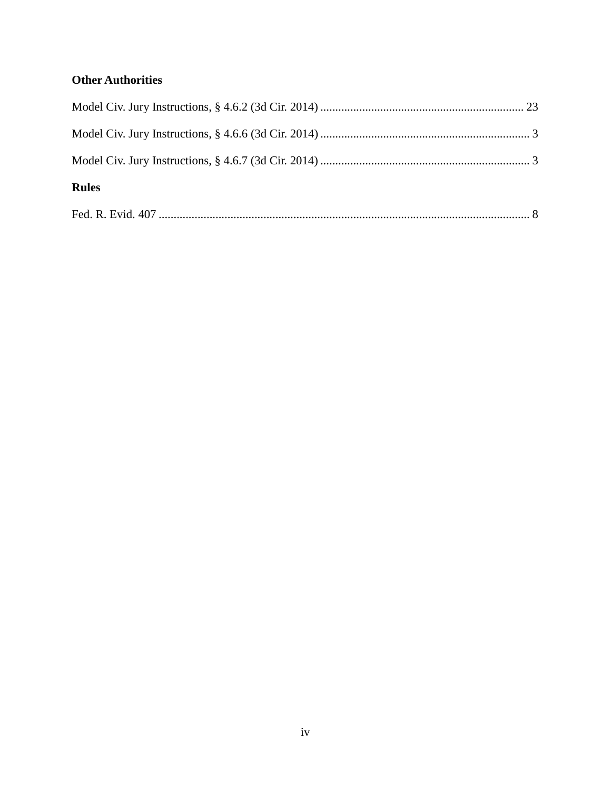# **Other Authorities**

| <b>Rules</b> |  |
|--------------|--|
|              |  |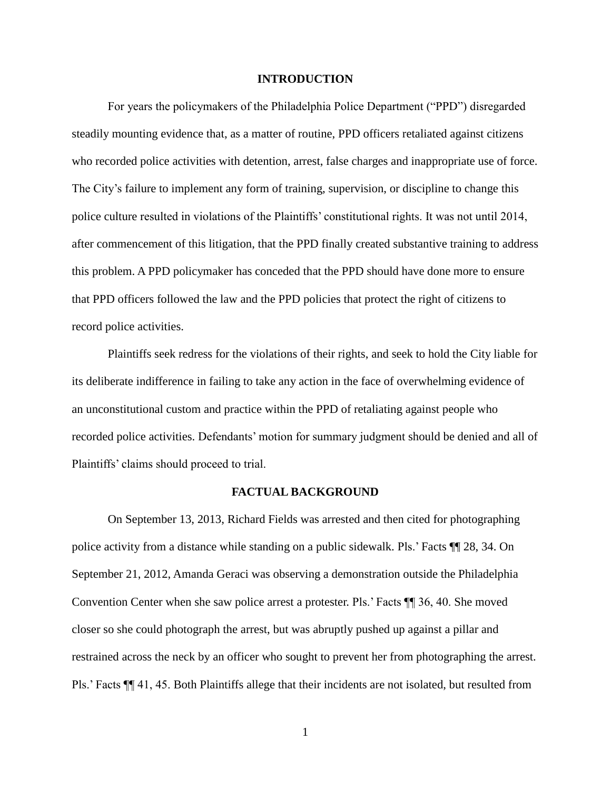#### **INTRODUCTION**

For years the policymakers of the Philadelphia Police Department ("PPD") disregarded steadily mounting evidence that, as a matter of routine, PPD officers retaliated against citizens who recorded police activities with detention, arrest, false charges and inappropriate use of force. The City's failure to implement any form of training, supervision, or discipline to change this police culture resulted in violations of the Plaintiffs' constitutional rights. It was not until 2014, after commencement of this litigation, that the PPD finally created substantive training to address this problem. A PPD policymaker has conceded that the PPD should have done more to ensure that PPD officers followed the law and the PPD policies that protect the right of citizens to record police activities.

Plaintiffs seek redress for the violations of their rights, and seek to hold the City liable for its deliberate indifference in failing to take any action in the face of overwhelming evidence of an unconstitutional custom and practice within the PPD of retaliating against people who recorded police activities. Defendants' motion for summary judgment should be denied and all of Plaintiffs' claims should proceed to trial.

#### **FACTUAL BACKGROUND**

On September 13, 2013, Richard Fields was arrested and then cited for photographing police activity from a distance while standing on a public sidewalk. Pls.' Facts ¶¶ 28, 34. On September 21, 2012, Amanda Geraci was observing a demonstration outside the Philadelphia Convention Center when she saw police arrest a protester. Pls.' Facts ¶¶ 36, 40. She moved closer so she could photograph the arrest, but was abruptly pushed up against a pillar and restrained across the neck by an officer who sought to prevent her from photographing the arrest. Pls.' Facts ¶¶ 41, 45. Both Plaintiffs allege that their incidents are not isolated, but resulted from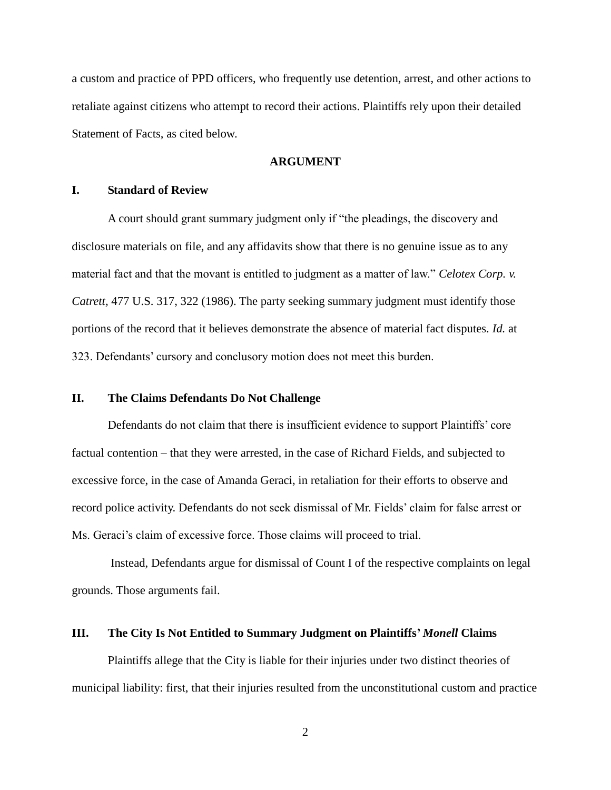a custom and practice of PPD officers, who frequently use detention, arrest, and other actions to retaliate against citizens who attempt to record their actions. Plaintiffs rely upon their detailed Statement of Facts, as cited below.

#### **ARGUMENT**

#### **I. Standard of Review**

A court should grant summary judgment only if "the pleadings, the discovery and disclosure materials on file, and any affidavits show that there is no genuine issue as to any material fact and that the movant is entitled to judgment as a matter of law." *Celotex Corp. v. Catrett,* 477 U.S. 317, 322 (1986). The party seeking summary judgment must identify those portions of the record that it believes demonstrate the absence of material fact disputes. *Id.* at 323. Defendants' cursory and conclusory motion does not meet this burden.

### **II. The Claims Defendants Do Not Challenge**

Defendants do not claim that there is insufficient evidence to support Plaintiffs' core factual contention – that they were arrested, in the case of Richard Fields, and subjected to excessive force, in the case of Amanda Geraci, in retaliation for their efforts to observe and record police activity. Defendants do not seek dismissal of Mr. Fields' claim for false arrest or Ms. Geraci's claim of excessive force. Those claims will proceed to trial.

Instead, Defendants argue for dismissal of Count I of the respective complaints on legal grounds. Those arguments fail.

#### **III. The City Is Not Entitled to Summary Judgment on Plaintiffs'** *Monell* **Claims**

Plaintiffs allege that the City is liable for their injuries under two distinct theories of municipal liability: first, that their injuries resulted from the unconstitutional custom and practice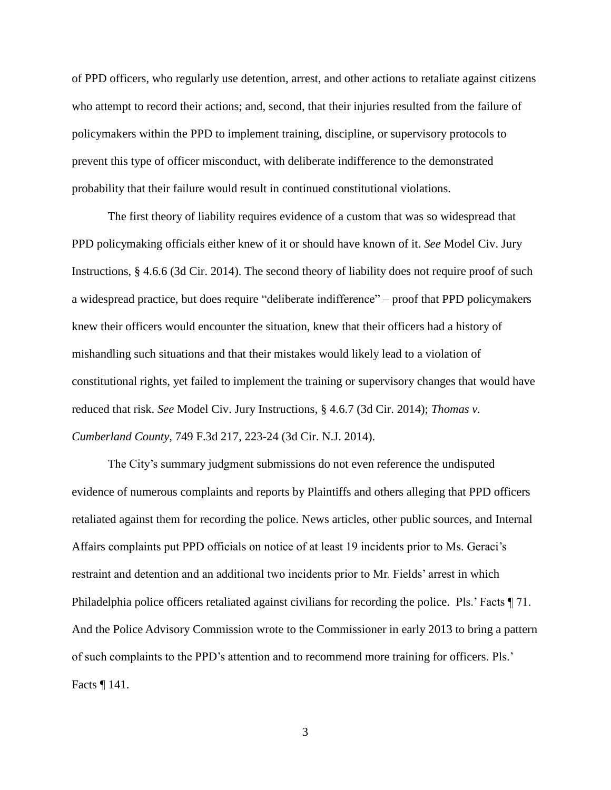of PPD officers, who regularly use detention, arrest, and other actions to retaliate against citizens who attempt to record their actions; and, second, that their injuries resulted from the failure of policymakers within the PPD to implement training, discipline, or supervisory protocols to prevent this type of officer misconduct, with deliberate indifference to the demonstrated probability that their failure would result in continued constitutional violations.

The first theory of liability requires evidence of a custom that was so widespread that PPD policymaking officials either knew of it or should have known of it. *See* Model Civ. Jury Instructions, § 4.6.6 (3d Cir. 2014). The second theory of liability does not require proof of such a widespread practice, but does require "deliberate indifference" – proof that PPD policymakers knew their officers would encounter the situation, knew that their officers had a history of mishandling such situations and that their mistakes would likely lead to a violation of constitutional rights, yet failed to implement the training or supervisory changes that would have reduced that risk. *See* Model Civ. Jury Instructions, § 4.6.7 (3d Cir. 2014); *Thomas v. Cumberland County*, 749 F.3d 217, 223-24 (3d Cir. N.J. 2014).

The City's summary judgment submissions do not even reference the undisputed evidence of numerous complaints and reports by Plaintiffs and others alleging that PPD officers retaliated against them for recording the police. News articles, other public sources, and Internal Affairs complaints put PPD officials on notice of at least 19 incidents prior to Ms. Geraci's restraint and detention and an additional two incidents prior to Mr. Fields' arrest in which Philadelphia police officers retaliated against civilians for recording the police. Pls.' Facts ¶ 71. And the Police Advisory Commission wrote to the Commissioner in early 2013 to bring a pattern of such complaints to the PPD's attention and to recommend more training for officers. Pls.' Facts ¶ 141.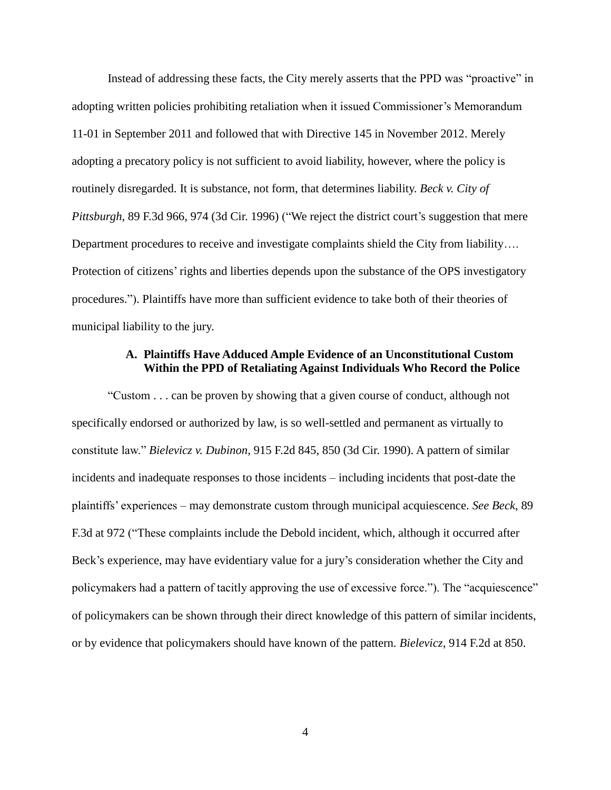Instead of addressing these facts, the City merely asserts that the PPD was "proactive" in adopting written policies prohibiting retaliation when it issued Commissioner's Memorandum 11-01 in September 2011 and followed that with Directive 145 in November 2012. Merely adopting a precatory policy is not sufficient to avoid liability, however, where the policy is routinely disregarded. It is substance, not form, that determines liability. *Beck v. City of Pittsburgh*, 89 F.3d 966, 974 (3d Cir. 1996) ("We reject the district court's suggestion that mere Department procedures to receive and investigate complaints shield the City from liability…. Protection of citizens' rights and liberties depends upon the substance of the OPS investigatory procedures."). Plaintiffs have more than sufficient evidence to take both of their theories of municipal liability to the jury.

#### **A. Plaintiffs Have Adduced Ample Evidence of an Unconstitutional Custom Within the PPD of Retaliating Against Individuals Who Record the Police**

"Custom . . . can be proven by showing that a given course of conduct, although not specifically endorsed or authorized by law, is so well-settled and permanent as virtually to constitute law." *Bielevicz v. Dubinon*, 915 F.2d 845, 850 (3d Cir. 1990). A pattern of similar incidents and inadequate responses to those incidents – including incidents that post-date the plaintiffs' experiences – may demonstrate custom through municipal acquiescence. *See Beck*, 89 F.3d at 972 ("These complaints include the Debold incident, which, although it occurred after Beck's experience, may have evidentiary value for a jury's consideration whether the City and policymakers had a pattern of tacitly approving the use of excessive force."). The "acquiescence" of policymakers can be shown through their direct knowledge of this pattern of similar incidents, or by evidence that policymakers should have known of the pattern. *Bielevicz*, 914 F.2d at 850.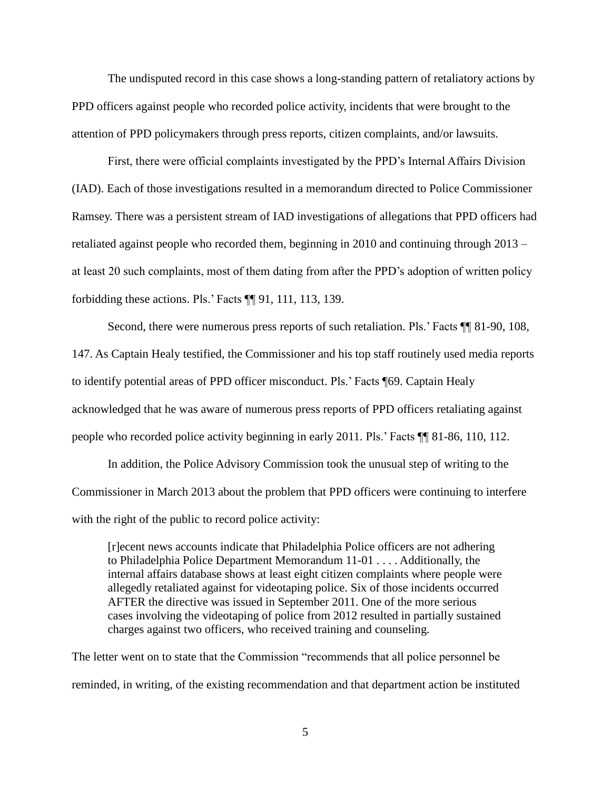The undisputed record in this case shows a long-standing pattern of retaliatory actions by PPD officers against people who recorded police activity, incidents that were brought to the attention of PPD policymakers through press reports, citizen complaints, and/or lawsuits.

First, there were official complaints investigated by the PPD's Internal Affairs Division (IAD). Each of those investigations resulted in a memorandum directed to Police Commissioner Ramsey. There was a persistent stream of IAD investigations of allegations that PPD officers had retaliated against people who recorded them, beginning in 2010 and continuing through 2013 – at least 20 such complaints, most of them dating from after the PPD's adoption of written policy forbidding these actions. Pls.' Facts ¶¶ 91, 111, 113, 139.

Second, there were numerous press reports of such retaliation. Pls.' Facts  $\P$  81-90, 108, 147. As Captain Healy testified, the Commissioner and his top staff routinely used media reports to identify potential areas of PPD officer misconduct. Pls.' Facts ¶69. Captain Healy acknowledged that he was aware of numerous press reports of PPD officers retaliating against people who recorded police activity beginning in early 2011. Pls.' Facts ¶¶ 81-86, 110, 112.

In addition, the Police Advisory Commission took the unusual step of writing to the Commissioner in March 2013 about the problem that PPD officers were continuing to interfere with the right of the public to record police activity:

[r]ecent news accounts indicate that Philadelphia Police officers are not adhering to Philadelphia Police Department Memorandum 11-01 . . . . Additionally, the internal affairs database shows at least eight citizen complaints where people were allegedly retaliated against for videotaping police. Six of those incidents occurred AFTER the directive was issued in September 2011. One of the more serious cases involving the videotaping of police from 2012 resulted in partially sustained charges against two officers, who received training and counseling.

The letter went on to state that the Commission "recommends that all police personnel be reminded, in writing, of the existing recommendation and that department action be instituted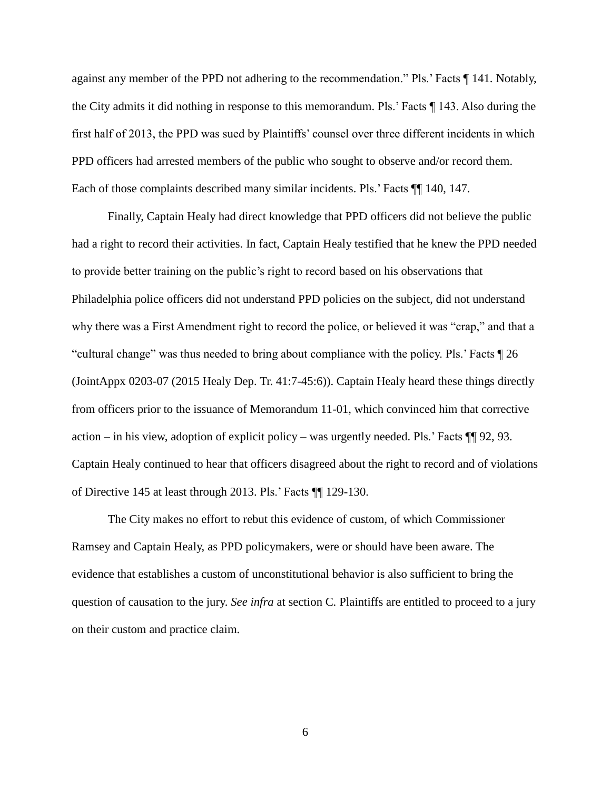against any member of the PPD not adhering to the recommendation." Pls.' Facts ¶ 141. Notably, the City admits it did nothing in response to this memorandum. Pls.' Facts ¶ 143. Also during the first half of 2013, the PPD was sued by Plaintiffs' counsel over three different incidents in which PPD officers had arrested members of the public who sought to observe and/or record them. Each of those complaints described many similar incidents. Pls.' Facts ¶¶ 140, 147.

Finally, Captain Healy had direct knowledge that PPD officers did not believe the public had a right to record their activities. In fact, Captain Healy testified that he knew the PPD needed to provide better training on the public's right to record based on his observations that Philadelphia police officers did not understand PPD policies on the subject, did not understand why there was a First Amendment right to record the police, or believed it was "crap," and that a "cultural change" was thus needed to bring about compliance with the policy. Pls.' Facts ¶ 26 (JointAppx 0203-07 (2015 Healy Dep. Tr. 41:7-45:6)). Captain Healy heard these things directly from officers prior to the issuance of Memorandum 11-01, which convinced him that corrective action – in his view, adoption of explicit policy – was urgently needed. Pls.' Facts  $\P\P$  92, 93. Captain Healy continued to hear that officers disagreed about the right to record and of violations of Directive 145 at least through 2013. Pls.' Facts ¶¶ 129-130.

The City makes no effort to rebut this evidence of custom, of which Commissioner Ramsey and Captain Healy, as PPD policymakers, were or should have been aware. The evidence that establishes a custom of unconstitutional behavior is also sufficient to bring the question of causation to the jury. *See infra* at section C*.* Plaintiffs are entitled to proceed to a jury on their custom and practice claim.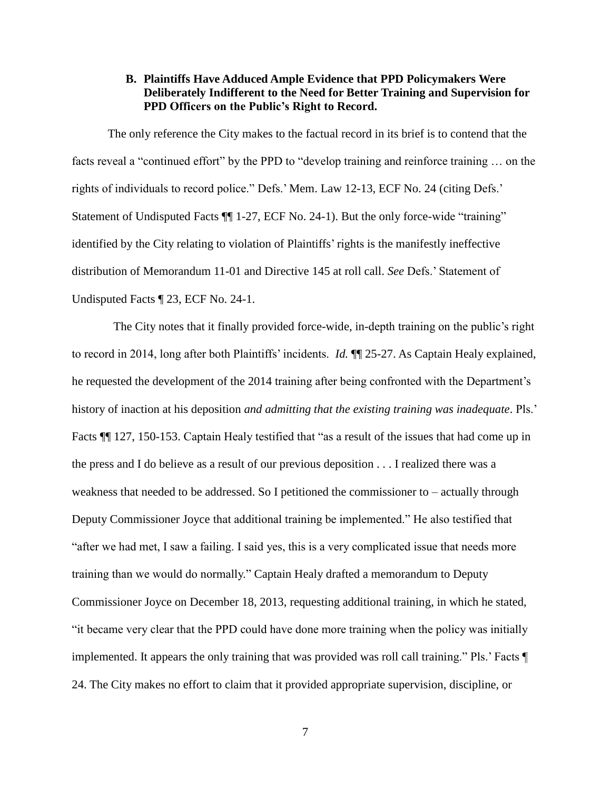## **B. Plaintiffs Have Adduced Ample Evidence that PPD Policymakers Were Deliberately Indifferent to the Need for Better Training and Supervision for PPD Officers on the Public's Right to Record.**

The only reference the City makes to the factual record in its brief is to contend that the facts reveal a "continued effort" by the PPD to "develop training and reinforce training … on the rights of individuals to record police." Defs.' Mem. Law 12-13, ECF No. 24 (citing Defs.' Statement of Undisputed Facts  $\P$  1-27, ECF No. 24-1). But the only force-wide "training" identified by the City relating to violation of Plaintiffs' rights is the manifestly ineffective distribution of Memorandum 11-01 and Directive 145 at roll call. *See* Defs.' Statement of Undisputed Facts ¶ 23, ECF No. 24-1.

The City notes that it finally provided force-wide, in-depth training on the public's right to record in 2014, long after both Plaintiffs' incidents. *Id.* ¶¶ 25-27. As Captain Healy explained, he requested the development of the 2014 training after being confronted with the Department's history of inaction at his deposition *and admitting that the existing training was inadequate*. Pls.' Facts  $\P$  127, 150-153. Captain Healy testified that "as a result of the issues that had come up in the press and I do believe as a result of our previous deposition . . . I realized there was a weakness that needed to be addressed. So I petitioned the commissioner to – actually through Deputy Commissioner Joyce that additional training be implemented." He also testified that "after we had met, I saw a failing. I said yes, this is a very complicated issue that needs more training than we would do normally." Captain Healy drafted a memorandum to Deputy Commissioner Joyce on December 18, 2013, requesting additional training, in which he stated, "it became very clear that the PPD could have done more training when the policy was initially implemented. It appears the only training that was provided was roll call training." Pls.' Facts ¶ 24. The City makes no effort to claim that it provided appropriate supervision, discipline, or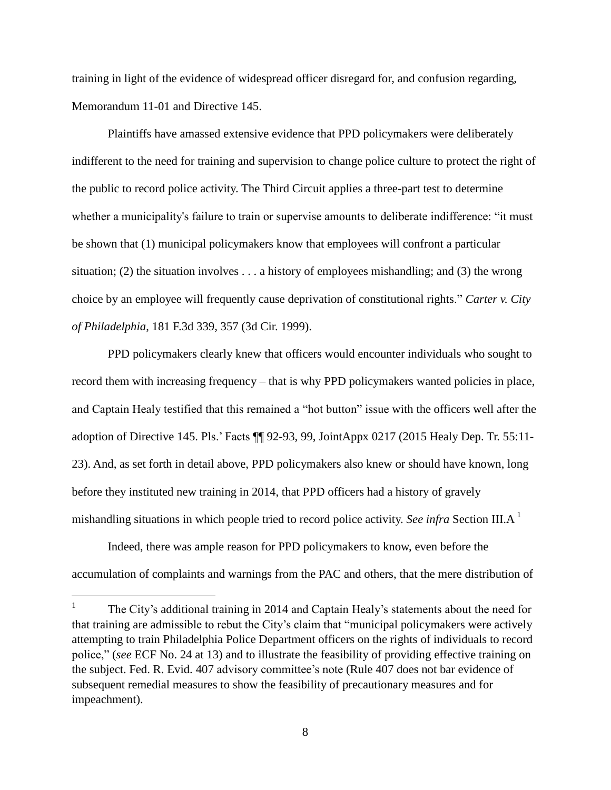training in light of the evidence of widespread officer disregard for, and confusion regarding, Memorandum 11-01 and Directive 145.

Plaintiffs have amassed extensive evidence that PPD policymakers were deliberately indifferent to the need for training and supervision to change police culture to protect the right of the public to record police activity. The Third Circuit applies a three-part test to determine whether a municipality's failure to train or supervise amounts to deliberate indifference: "it must be shown that (1) municipal policymakers know that employees will confront a particular situation; (2) the situation involves . . . a history of employees mishandling; and (3) the wrong choice by an employee will frequently cause deprivation of constitutional rights." *Carter v. City of Philadelphia*, 181 F.3d 339, 357 (3d Cir. 1999).

PPD policymakers clearly knew that officers would encounter individuals who sought to record them with increasing frequency – that is why PPD policymakers wanted policies in place, and Captain Healy testified that this remained a "hot button" issue with the officers well after the adoption of Directive 145. Pls.' Facts ¶¶ 92-93, 99, JointAppx 0217 (2015 Healy Dep. Tr. 55:11- 23). And, as set forth in detail above, PPD policymakers also knew or should have known, long before they instituted new training in 2014, that PPD officers had a history of gravely mishandling situations in which people tried to record police activity. *See infra* Section III.A <sup>1</sup>

Indeed, there was ample reason for PPD policymakers to know, even before the accumulation of complaints and warnings from the PAC and others, that the mere distribution of

l

<sup>1</sup> The City's additional training in 2014 and Captain Healy's statements about the need for that training are admissible to rebut the City's claim that "municipal policymakers were actively attempting to train Philadelphia Police Department officers on the rights of individuals to record police," (*see* ECF No. 24 at 13) and to illustrate the feasibility of providing effective training on the subject. Fed. R. Evid. 407 advisory committee's note (Rule 407 does not bar evidence of subsequent remedial measures to show the feasibility of precautionary measures and for impeachment).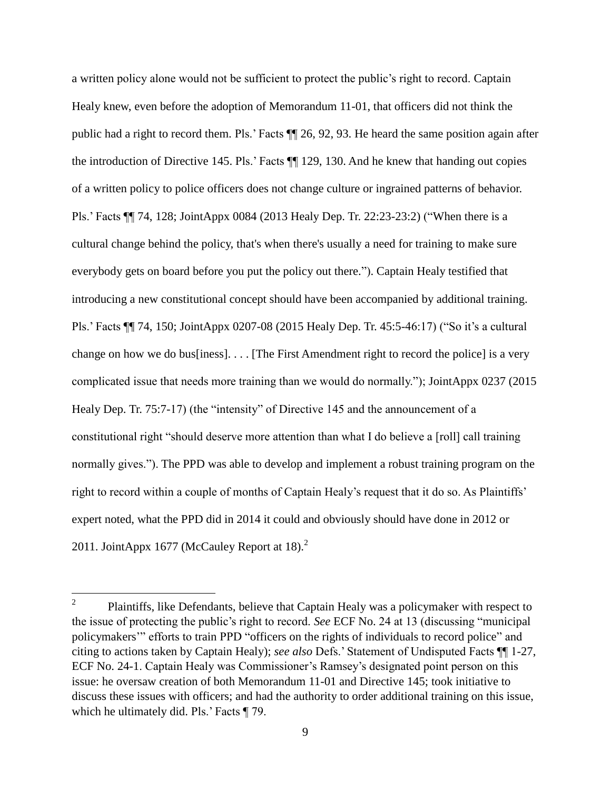a written policy alone would not be sufficient to protect the public's right to record. Captain Healy knew, even before the adoption of Memorandum 11-01, that officers did not think the public had a right to record them. Pls.' Facts ¶¶ 26, 92, 93. He heard the same position again after the introduction of Directive 145. Pls.' Facts ¶¶ 129, 130. And he knew that handing out copies of a written policy to police officers does not change culture or ingrained patterns of behavior. Pls.' Facts ¶¶ 74, 128; JointAppx 0084 (2013 Healy Dep. Tr. 22:23-23:2) ("When there is a cultural change behind the policy, that's when there's usually a need for training to make sure everybody gets on board before you put the policy out there."). Captain Healy testified that introducing a new constitutional concept should have been accompanied by additional training. Pls.' Facts ¶¶ 74, 150; JointAppx 0207-08 (2015 Healy Dep. Tr. 45:5-46:17) ("So it's a cultural change on how we do bus[iness]. . . . [The First Amendment right to record the police] is a very complicated issue that needs more training than we would do normally."); JointAppx 0237 (2015 Healy Dep. Tr. 75:7-17) (the "intensity" of Directive 145 and the announcement of a constitutional right "should deserve more attention than what I do believe a [roll] call training normally gives."). The PPD was able to develop and implement a robust training program on the right to record within a couple of months of Captain Healy's request that it do so. As Plaintiffs' expert noted, what the PPD did in 2014 it could and obviously should have done in 2012 or 2011. JointAppx 1677 (McCauley Report at 18). $2$ 

l

<sup>2</sup> Plaintiffs, like Defendants, believe that Captain Healy was a policymaker with respect to the issue of protecting the public's right to record. *See* ECF No. 24 at 13 (discussing "municipal policymakers'" efforts to train PPD "officers on the rights of individuals to record police" and citing to actions taken by Captain Healy); *see also* Defs.' Statement of Undisputed Facts ¶¶ 1-27, ECF No. 24-1. Captain Healy was Commissioner's Ramsey's designated point person on this issue: he oversaw creation of both Memorandum 11-01 and Directive 145; took initiative to discuss these issues with officers; and had the authority to order additional training on this issue, which he ultimately did. Pls.' Facts  $\P$  79.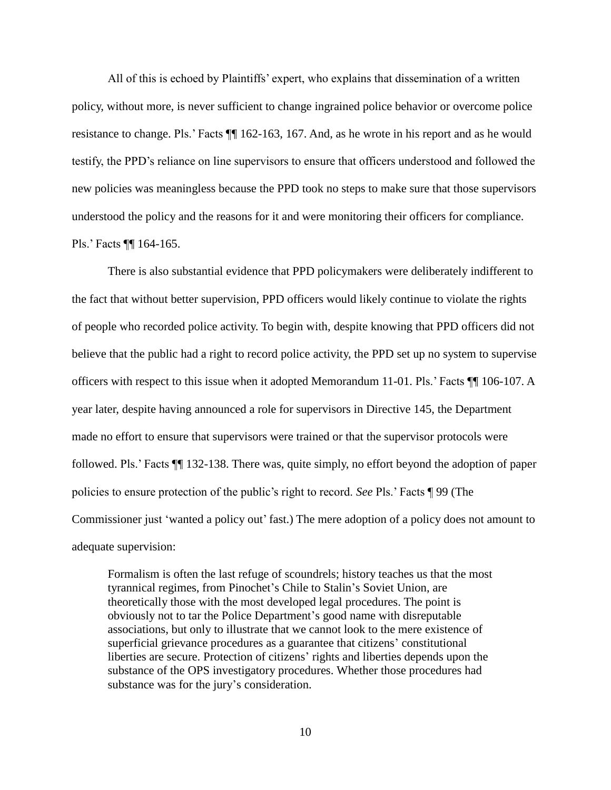All of this is echoed by Plaintiffs' expert, who explains that dissemination of a written policy, without more, is never sufficient to change ingrained police behavior or overcome police resistance to change. Pls.' Facts ¶¶ 162-163, 167. And, as he wrote in his report and as he would testify, the PPD's reliance on line supervisors to ensure that officers understood and followed the new policies was meaningless because the PPD took no steps to make sure that those supervisors understood the policy and the reasons for it and were monitoring their officers for compliance. Pls.' Facts ¶¶ 164-165.

There is also substantial evidence that PPD policymakers were deliberately indifferent to the fact that without better supervision, PPD officers would likely continue to violate the rights of people who recorded police activity. To begin with, despite knowing that PPD officers did not believe that the public had a right to record police activity, the PPD set up no system to supervise officers with respect to this issue when it adopted Memorandum 11-01. Pls.' Facts ¶¶ 106-107. A year later, despite having announced a role for supervisors in Directive 145, the Department made no effort to ensure that supervisors were trained or that the supervisor protocols were followed. Pls.' Facts ¶¶ 132-138. There was, quite simply, no effort beyond the adoption of paper policies to ensure protection of the public's right to record. *See* Pls.' Facts ¶ 99 (The Commissioner just 'wanted a policy out' fast.) The mere adoption of a policy does not amount to adequate supervision:

Formalism is often the last refuge of scoundrels; history teaches us that the most tyrannical regimes, from Pinochet's Chile to Stalin's Soviet Union, are theoretically those with the most developed legal procedures. The point is obviously not to tar the Police Department's good name with disreputable associations, but only to illustrate that we cannot look to the mere existence of superficial grievance procedures as a guarantee that citizens' constitutional liberties are secure. Protection of citizens' rights and liberties depends upon the substance of the OPS investigatory procedures. Whether those procedures had substance was for the jury's consideration.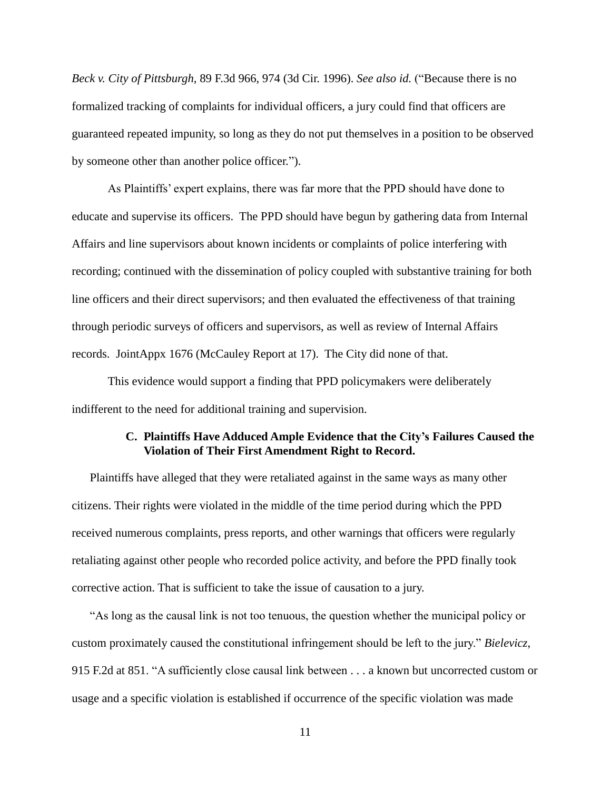*Beck v. City of Pittsburgh*, 89 F.3d 966, 974 (3d Cir. 1996). *See also id.* ("Because there is no formalized tracking of complaints for individual officers, a jury could find that officers are guaranteed repeated impunity, so long as they do not put themselves in a position to be observed by someone other than another police officer.").

As Plaintiffs' expert explains, there was far more that the PPD should have done to educate and supervise its officers. The PPD should have begun by gathering data from Internal Affairs and line supervisors about known incidents or complaints of police interfering with recording; continued with the dissemination of policy coupled with substantive training for both line officers and their direct supervisors; and then evaluated the effectiveness of that training through periodic surveys of officers and supervisors, as well as review of Internal Affairs records. JointAppx 1676 (McCauley Report at 17). The City did none of that.

This evidence would support a finding that PPD policymakers were deliberately indifferent to the need for additional training and supervision.

### **C. Plaintiffs Have Adduced Ample Evidence that the City's Failures Caused the Violation of Their First Amendment Right to Record.**

Plaintiffs have alleged that they were retaliated against in the same ways as many other citizens. Their rights were violated in the middle of the time period during which the PPD received numerous complaints, press reports, and other warnings that officers were regularly retaliating against other people who recorded police activity, and before the PPD finally took corrective action. That is sufficient to take the issue of causation to a jury.

"As long as the causal link is not too tenuous, the question whether the municipal policy or custom proximately caused the constitutional infringement should be left to the jury." *Bielevicz*, 915 F.2d at 851. "A sufficiently close causal link between . . . a known but uncorrected custom or usage and a specific violation is established if occurrence of the specific violation was made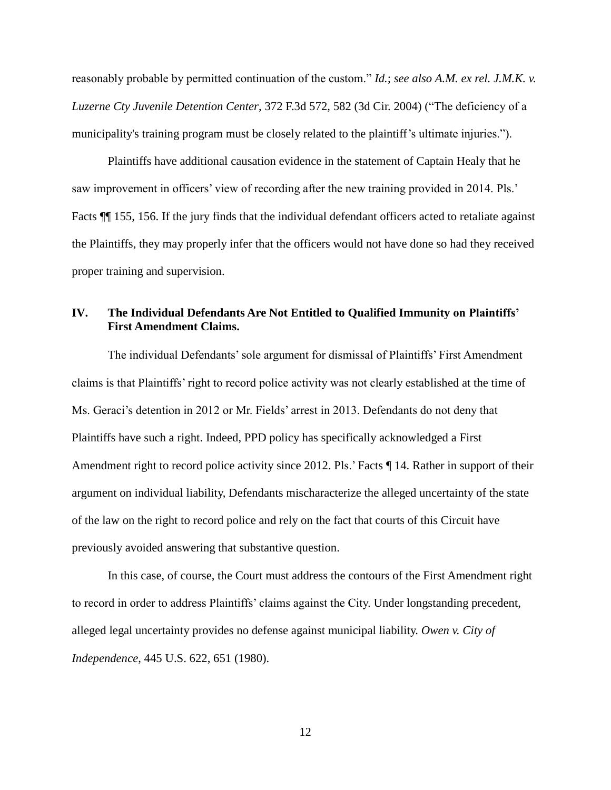reasonably probable by permitted continuation of the custom." *Id.*; *see also A.M. ex rel. J.M.K. v. Luzerne Cty Juvenile Detention Center*, 372 F.3d 572, 582 (3d Cir. 2004) ("The deficiency of a municipality's training program must be closely related to the plaintiff's ultimate injuries.").

Plaintiffs have additional causation evidence in the statement of Captain Healy that he saw improvement in officers' view of recording after the new training provided in 2014. Pls.' Facts  $\P$  155, 156. If the jury finds that the individual defendant officers acted to retaliate against the Plaintiffs, they may properly infer that the officers would not have done so had they received proper training and supervision.

## **IV. The Individual Defendants Are Not Entitled to Qualified Immunity on Plaintiffs' First Amendment Claims.**

The individual Defendants' sole argument for dismissal of Plaintiffs' First Amendment claims is that Plaintiffs' right to record police activity was not clearly established at the time of Ms. Geraci's detention in 2012 or Mr. Fields' arrest in 2013. Defendants do not deny that Plaintiffs have such a right. Indeed, PPD policy has specifically acknowledged a First Amendment right to record police activity since 2012. Pls.' Facts  $\P$  14. Rather in support of their argument on individual liability, Defendants mischaracterize the alleged uncertainty of the state of the law on the right to record police and rely on the fact that courts of this Circuit have previously avoided answering that substantive question.

In this case, of course, the Court must address the contours of the First Amendment right to record in order to address Plaintiffs' claims against the City. Under longstanding precedent, alleged legal uncertainty provides no defense against municipal liability. *Owen v. City of Independence*, 445 U.S. 622, 651 (1980).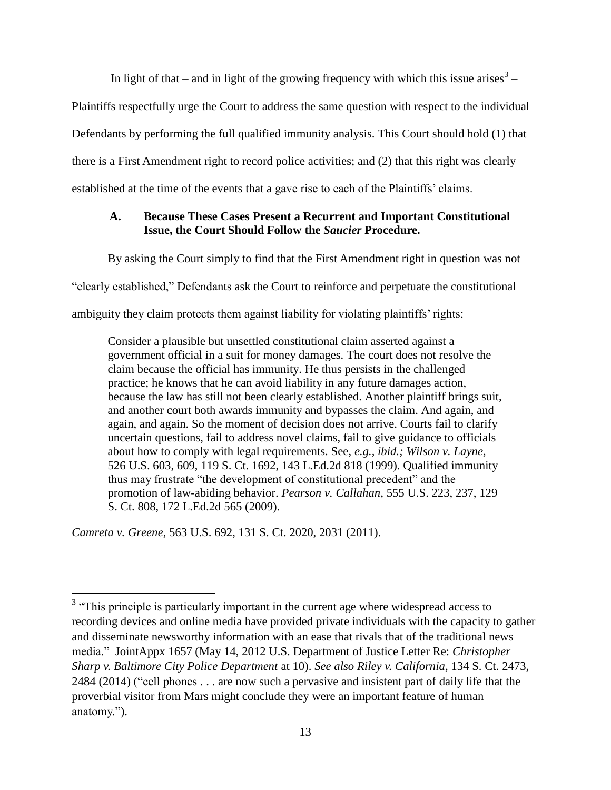In light of that – and in light of the growing frequency with which this issue arises<sup>3</sup> –

Plaintiffs respectfully urge the Court to address the same question with respect to the individual

Defendants by performing the full qualified immunity analysis. This Court should hold (1) that

there is a First Amendment right to record police activities; and (2) that this right was clearly

established at the time of the events that a gave rise to each of the Plaintiffs' claims.

## **A. Because These Cases Present a Recurrent and Important Constitutional Issue, the Court Should Follow the** *Saucier* **Procedure.**

By asking the Court simply to find that the First Amendment right in question was not

"clearly established," Defendants ask the Court to reinforce and perpetuate the constitutional

ambiguity they claim protects them against liability for violating plaintiffs' rights:

Consider a plausible but unsettled constitutional claim asserted against a government official in a suit for money damages. The court does not resolve the claim because the official has immunity. He thus persists in the challenged practice; he knows that he can avoid liability in any future damages action, because the law has still not been clearly established. Another plaintiff brings suit, and another court both awards immunity and bypasses the claim. And again, and again, and again. So the moment of decision does not arrive. Courts fail to clarify uncertain questions, fail to address novel claims, fail to give guidance to officials about how to comply with legal requirements. See, *e.g., ibid.; Wilson v. Layne,* 526 U.S. 603, 609, 119 S. Ct. 1692, 143 L.Ed.2d 818 (1999). Qualified immunity thus may frustrate "the development of constitutional precedent" and the promotion of law-abiding behavior. *Pearson v. Callahan,* 555 U.S. 223, 237, 129 S. Ct. 808, 172 L.Ed.2d 565 (2009).

*Camreta v. Greene*, 563 U.S. 692, 131 S. Ct. 2020, 2031 (2011).

l

<sup>&</sup>lt;sup>3</sup> "This principle is particularly important in the current age where widespread access to recording devices and online media have provided private individuals with the capacity to gather and disseminate newsworthy information with an ease that rivals that of the traditional news media." JointAppx 1657 (May 14, 2012 U.S. Department of Justice Letter Re: *Christopher Sharp v. Baltimore City Police Department* at 10). *See also Riley v. California*, 134 S. Ct. 2473, 2484 (2014) ("cell phones . . . are now such a pervasive and insistent part of daily life that the proverbial visitor from Mars might conclude they were an important feature of human anatomy.").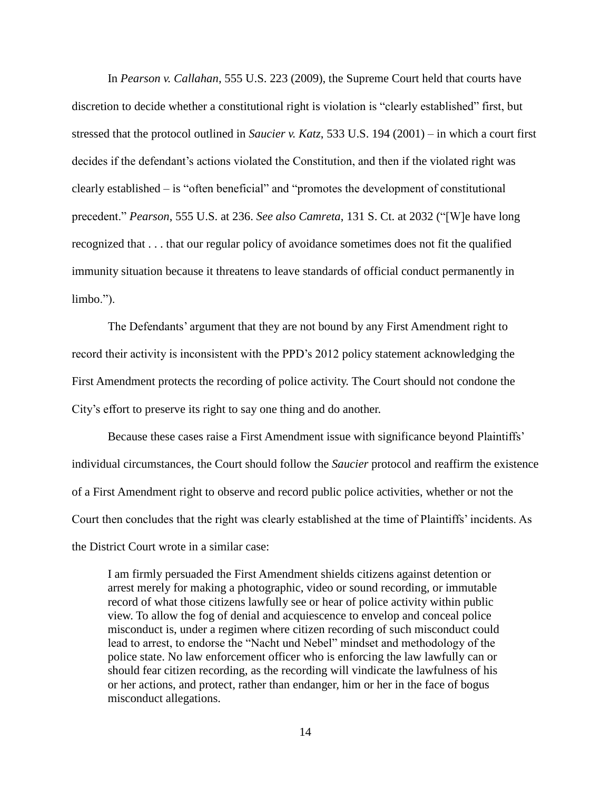In *Pearson v. Callahan*, 555 U.S. 223 (2009), the Supreme Court held that courts have discretion to decide whether a constitutional right is violation is "clearly established" first, but stressed that the protocol outlined in *Saucier v. Katz*, 533 U.S. 194 (2001) – in which a court first decides if the defendant's actions violated the Constitution, and then if the violated right was clearly established – is "often beneficial" and "promotes the development of constitutional precedent." *Pearson*, 555 U.S. at 236. *See also Camreta*, 131 S. Ct. at 2032 ("[W]e have long recognized that . . . that our regular policy of avoidance sometimes does not fit the qualified immunity situation because it threatens to leave standards of official conduct permanently in limbo.").

The Defendants' argument that they are not bound by any First Amendment right to record their activity is inconsistent with the PPD's 2012 policy statement acknowledging the First Amendment protects the recording of police activity. The Court should not condone the City's effort to preserve its right to say one thing and do another.

Because these cases raise a First Amendment issue with significance beyond Plaintiffs' individual circumstances, the Court should follow the *Saucier* protocol and reaffirm the existence of a First Amendment right to observe and record public police activities, whether or not the Court then concludes that the right was clearly established at the time of Plaintiffs' incidents. As the District Court wrote in a similar case:

I am firmly persuaded the First Amendment shields citizens against detention or arrest merely for making a photographic, video or sound recording, or immutable record of what those citizens lawfully see or hear of police activity within public view. To allow the fog of denial and acquiescence to envelop and conceal police misconduct is, under a regimen where citizen recording of such misconduct could lead to arrest, to endorse the "Nacht und Nebel" mindset and methodology of the police state. No law enforcement officer who is enforcing the law lawfully can or should fear citizen recording, as the recording will vindicate the lawfulness of his or her actions, and protect, rather than endanger, him or her in the face of bogus misconduct allegations.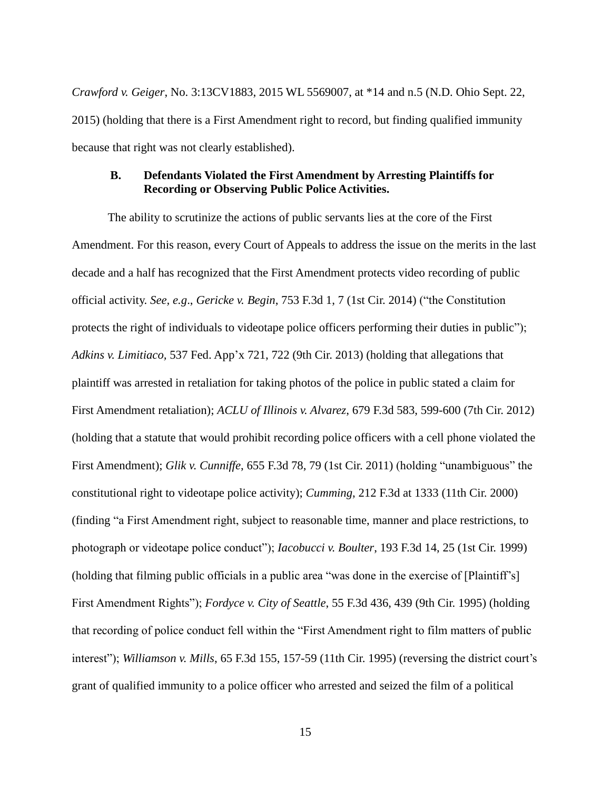*Crawford v. Geiger*, No. 3:13CV1883, 2015 WL 5569007, at \*14 and n.5 (N.D. Ohio Sept. 22, 2015) (holding that there is a First Amendment right to record, but finding qualified immunity because that right was not clearly established).

### **B. Defendants Violated the First Amendment by Arresting Plaintiffs for Recording or Observing Public Police Activities.**

The ability to scrutinize the actions of public servants lies at the core of the First Amendment. For this reason, every Court of Appeals to address the issue on the merits in the last decade and a half has recognized that the First Amendment protects video recording of public official activity. *See, e.g*., *Gericke v. Begin*, 753 F.3d 1, 7 (1st Cir. 2014) ("the Constitution protects the right of individuals to videotape police officers performing their duties in public"); *Adkins v. Limitiaco,* 537 Fed. App'x 721, 722 (9th Cir. 2013) (holding that allegations that plaintiff was arrested in retaliation for taking photos of the police in public stated a claim for First Amendment retaliation); *ACLU of Illinois v. Alvarez*, 679 F.3d 583, 599-600 (7th Cir. 2012) (holding that a statute that would prohibit recording police officers with a cell phone violated the First Amendment); *Glik v. Cunniffe*, 655 F.3d 78, 79 (1st Cir. 2011) (holding "unambiguous" the constitutional right to videotape police activity); *Cumming*, 212 F.3d at 1333 (11th Cir. 2000) (finding "a First Amendment right, subject to reasonable time, manner and place restrictions, to photograph or videotape police conduct"); *Iacobucci v. Boulter*, 193 F.3d 14, 25 (1st Cir. 1999) (holding that filming public officials in a public area "was done in the exercise of [Plaintiff's] First Amendment Rights"); *Fordyce v. City of Seattle*, 55 F.3d 436, 439 (9th Cir. 1995) (holding that recording of police conduct fell within the "First Amendment right to film matters of public interest"); *Williamson v. Mills*, 65 F.3d 155, 157-59 (11th Cir. 1995) (reversing the district court's grant of qualified immunity to a police officer who arrested and seized the film of a political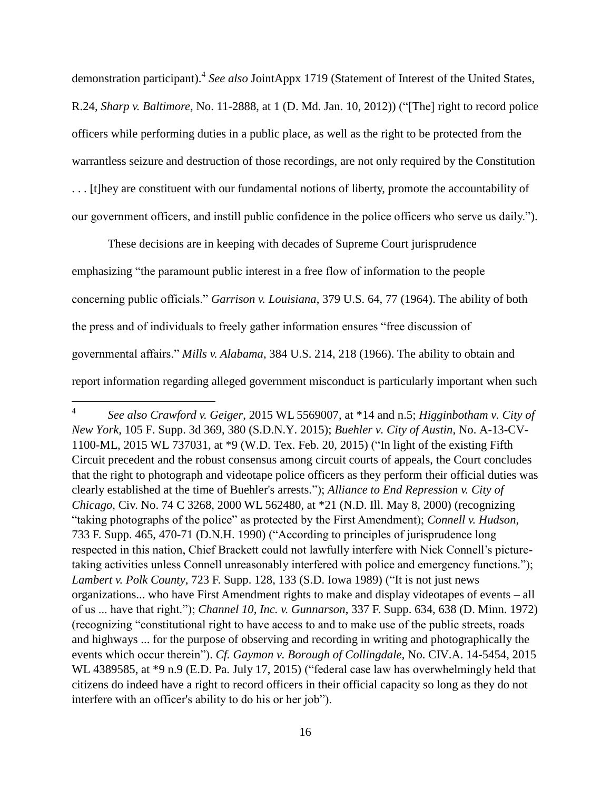demonstration participant). 4 *See also* JointAppx 1719 (Statement of Interest of the United States, R.24, *Sharp v. Baltimore,* No. 11-2888, at 1 (D. Md. Jan. 10, 2012)) ("[The] right to record police officers while performing duties in a public place, as well as the right to be protected from the warrantless seizure and destruction of those recordings, are not only required by the Constitution . . . [t]hey are constituent with our fundamental notions of liberty, promote the accountability of our government officers, and instill public confidence in the police officers who serve us daily.").

These decisions are in keeping with decades of Supreme Court jurisprudence emphasizing "the paramount public interest in a free flow of information to the people concerning public officials." *Garrison v. Louisiana*, 379 U.S. 64, 77 (1964). The ability of both the press and of individuals to freely gather information ensures "free discussion of governmental affairs." *Mills v. Alabama*, 384 U.S. 214, 218 (1966). The ability to obtain and report information regarding alleged government misconduct is particularly important when such

l

<sup>4</sup> *See also Crawford v. Geiger*, 2015 WL 5569007, at \*14 and n.5; *Higginbotham v. City of New York*, 105 F. Supp. 3d 369, 380 (S.D.N.Y. 2015); *Buehler v. City of Austin*, No. A-13-CV-1100-ML, 2015 WL 737031, at \*9 (W.D. Tex. Feb. 20, 2015) ("In light of the existing Fifth Circuit precedent and the robust consensus among circuit courts of appeals, the Court concludes that the right to photograph and videotape police officers as they perform their official duties was clearly established at the time of Buehler's arrests."); *Alliance to End Repression v. City of Chicago*, Civ. No. 74 C 3268, 2000 WL 562480, at \*21 (N.D. Ill. May 8, 2000) (recognizing "taking photographs of the police" as protected by the First Amendment); *Connell v. Hudson*, 733 F. Supp. 465, 470-71 (D.N.H. 1990) ("According to principles of jurisprudence long respected in this nation, Chief Brackett could not lawfully interfere with Nick Connell's picturetaking activities unless Connell unreasonably interfered with police and emergency functions."); *Lambert v. Polk County*, 723 F. Supp. 128, 133 (S.D. Iowa 1989) ("It is not just news organizations... who have First Amendment rights to make and display videotapes of events – all of us ... have that right."); *Channel 10, Inc. v. Gunnarson*, 337 F. Supp. 634, 638 (D. Minn. 1972) (recognizing "constitutional right to have access to and to make use of the public streets, roads and highways ... for the purpose of observing and recording in writing and photographically the events which occur therein"). *Cf. Gaymon v. Borough of Collingdale*, No. CIV.A. 14-5454, 2015 WL 4389585, at \*9 n.9 (E.D. Pa. July 17, 2015) ("federal case law has overwhelmingly held that citizens do indeed have a right to record officers in their official capacity so long as they do not interfere with an officer's ability to do his or her job").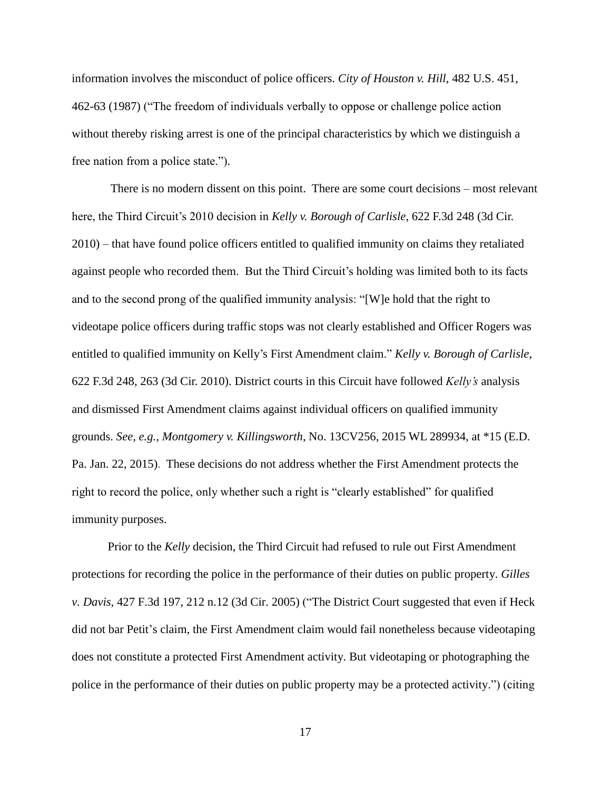information involves the misconduct of police officers. *City of Houston v. Hill*, 482 U.S. 451, 462-63 (1987) ("The freedom of individuals verbally to oppose or challenge police action without thereby risking arrest is one of the principal characteristics by which we distinguish a free nation from a police state.").

There is no modern dissent on this point. There are some court decisions – most relevant here, the Third Circuit's 2010 decision in *Kelly v. Borough of Carlisle*, 622 F.3d 248 (3d Cir. 2010) – that have found police officers entitled to qualified immunity on claims they retaliated against people who recorded them. But the Third Circuit's holding was limited both to its facts and to the second prong of the qualified immunity analysis: "[W]e hold that the right to videotape police officers during traffic stops was not clearly established and Officer Rogers was entitled to qualified immunity on Kelly's First Amendment claim." *Kelly v. Borough of Carlisle*, 622 F.3d 248, 263 (3d Cir. 2010). District courts in this Circuit have followed *Kelly's* analysis and dismissed First Amendment claims against individual officers on qualified immunity grounds. *See, e.g., Montgomery v. Killingsworth*, No. 13CV256, 2015 WL 289934, at \*15 (E.D. Pa. Jan. 22, 2015). These decisions do not address whether the First Amendment protects the right to record the police, only whether such a right is "clearly established" for qualified immunity purposes.

Prior to the *Kelly* decision, the Third Circuit had refused to rule out First Amendment protections for recording the police in the performance of their duties on public property. *Gilles v. Davis*, 427 F.3d 197, 212 n.12 (3d Cir. 2005) ("The District Court suggested that even if Heck did not bar Petit's claim, the First Amendment claim would fail nonetheless because videotaping does not constitute a protected First Amendment activity. But videotaping or photographing the police in the performance of their duties on public property may be a protected activity.") (citing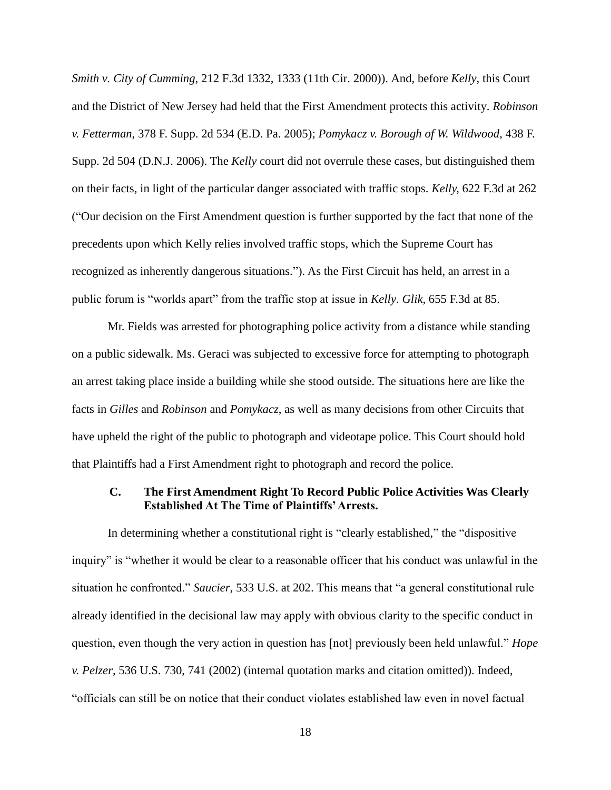*Smith v. City of Cumming,* 212 F.3d 1332, 1333 (11th Cir. 2000)). And, before *Kelly*, this Court and the District of New Jersey had held that the First Amendment protects this activity. *Robinson v. Fetterman*, 378 F. Supp. 2d 534 (E.D. Pa. 2005); *Pomykacz v. Borough of W. Wildwood*, 438 F. Supp. 2d 504 (D.N.J. 2006). The *Kelly* court did not overrule these cases, but distinguished them on their facts, in light of the particular danger associated with traffic stops. *Kelly,* 622 F.3d at 262 ("Our decision on the First Amendment question is further supported by the fact that none of the precedents upon which Kelly relies involved traffic stops, which the Supreme Court has recognized as inherently dangerous situations."). As the First Circuit has held, an arrest in a public forum is "worlds apart" from the traffic stop at issue in *Kelly*. *Glik*, 655 F.3d at 85.

Mr. Fields was arrested for photographing police activity from a distance while standing on a public sidewalk. Ms. Geraci was subjected to excessive force for attempting to photograph an arrest taking place inside a building while she stood outside. The situations here are like the facts in *Gilles* and *Robinson* and *Pomykacz*, as well as many decisions from other Circuits that have upheld the right of the public to photograph and videotape police. This Court should hold that Plaintiffs had a First Amendment right to photograph and record the police.

### **C. The First Amendment Right To Record Public Police Activities Was Clearly Established At The Time of Plaintiffs' Arrests.**

In determining whether a constitutional right is "clearly established," the "dispositive inquiry" is "whether it would be clear to a reasonable officer that his conduct was unlawful in the situation he confronted." *Saucier*, 533 U.S. at 202. This means that "a general constitutional rule already identified in the decisional law may apply with obvious clarity to the specific conduct in question, even though the very action in question has [not] previously been held unlawful." *Hope v. Pelzer*, 536 U.S. 730, 741 (2002) (internal quotation marks and citation omitted)). Indeed, "officials can still be on notice that their conduct violates established law even in novel factual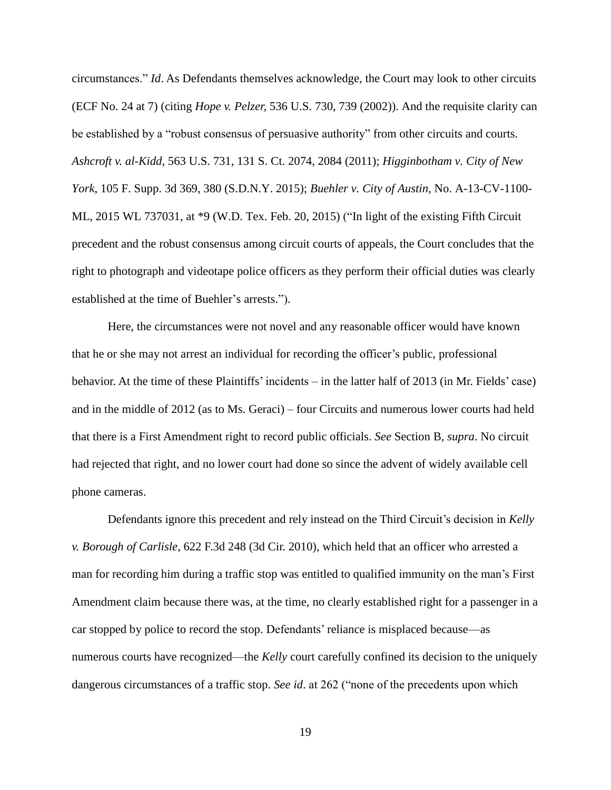circumstances." *Id*. As Defendants themselves acknowledge, the Court may look to other circuits (ECF No. 24 at 7) (citing *Hope v. Pelzer,* 536 U.S. 730, 739 (2002)). And the requisite clarity can be established by a "robust consensus of persuasive authority" from other circuits and courts. *Ashcroft v. al-Kidd*, 563 U.S. 731, 131 S. Ct. 2074, 2084 (2011); *Higginbotham v. City of New York*, 105 F. Supp. 3d 369, 380 (S.D.N.Y. 2015); *Buehler v. City of Austin*, No. A-13-CV-1100- ML, 2015 WL 737031, at \*9 (W.D. Tex. Feb. 20, 2015) ("In light of the existing Fifth Circuit precedent and the robust consensus among circuit courts of appeals, the Court concludes that the right to photograph and videotape police officers as they perform their official duties was clearly established at the time of Buehler's arrests.").

Here, the circumstances were not novel and any reasonable officer would have known that he or she may not arrest an individual for recording the officer's public, professional behavior. At the time of these Plaintiffs' incidents – in the latter half of 2013 (in Mr. Fields' case) and in the middle of 2012 (as to Ms. Geraci) – four Circuits and numerous lower courts had held that there is a First Amendment right to record public officials. *See* Section B, *supra*. No circuit had rejected that right, and no lower court had done so since the advent of widely available cell phone cameras.

Defendants ignore this precedent and rely instead on the Third Circuit's decision in *Kelly v. Borough of Carlisle*, 622 F.3d 248 (3d Cir. 2010), which held that an officer who arrested a man for recording him during a traffic stop was entitled to qualified immunity on the man's First Amendment claim because there was, at the time, no clearly established right for a passenger in a car stopped by police to record the stop. Defendants' reliance is misplaced because—as numerous courts have recognized—the *Kelly* court carefully confined its decision to the uniquely dangerous circumstances of a traffic stop. *See id*. at 262 ("none of the precedents upon which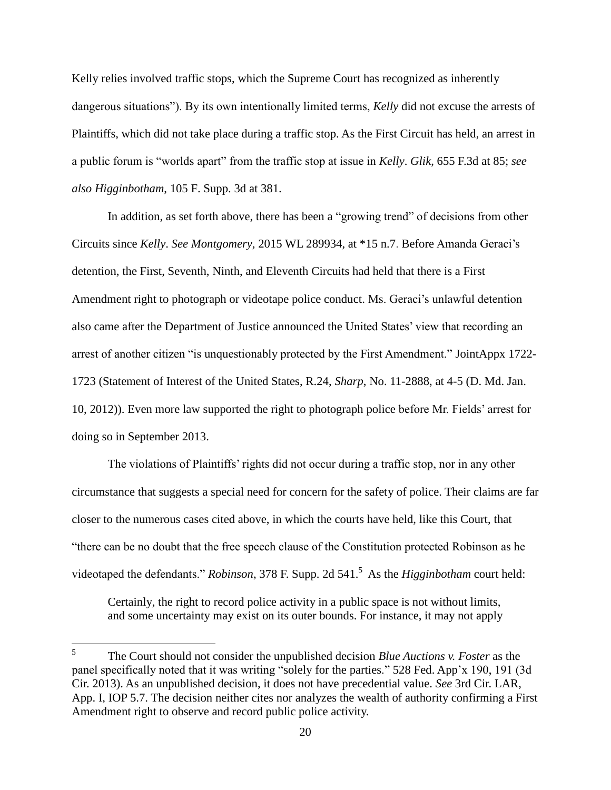Kelly relies involved traffic stops, which the Supreme Court has recognized as inherently dangerous situations"). By its own intentionally limited terms, *Kelly* did not excuse the arrests of Plaintiffs, which did not take place during a traffic stop. As the First Circuit has held, an arrest in a public forum is "worlds apart" from the traffic stop at issue in *Kelly*. *Glik*, 655 F.3d at 85; *see also Higginbotham*, 105 F. Supp. 3d at 381.

In addition, as set forth above, there has been a "growing trend" of decisions from other Circuits since *Kelly*. *See Montgomery*, 2015 WL 289934, at \*15 n.7. Before Amanda Geraci's detention, the First, Seventh, Ninth, and Eleventh Circuits had held that there is a First Amendment right to photograph or videotape police conduct. Ms. Geraci's unlawful detention also came after the Department of Justice announced the United States' view that recording an arrest of another citizen "is unquestionably protected by the First Amendment." JointAppx 1722- 1723 (Statement of Interest of the United States, R.24, *Sharp*, No. 11-2888, at 4-5 (D. Md. Jan. 10, 2012)). Even more law supported the right to photograph police before Mr. Fields' arrest for doing so in September 2013.

The violations of Plaintiffs' rights did not occur during a traffic stop, nor in any other circumstance that suggests a special need for concern for the safety of police. Their claims are far closer to the numerous cases cited above, in which the courts have held, like this Court, that "there can be no doubt that the free speech clause of the Constitution protected Robinson as he videotaped the defendants." *Robinson*, 378 F. Supp. 2d 541. 5 As the *Higginbotham* court held:

Certainly, the right to record police activity in a public space is not without limits, and some uncertainty may exist on its outer bounds. For instance, it may not apply

 $\frac{1}{5}$ The Court should not consider the unpublished decision *Blue Auctions v. Foster* as the panel specifically noted that it was writing "solely for the parties." 528 Fed. App'x 190, 191 (3d Cir. 2013). As an unpublished decision, it does not have precedential value. *See* 3rd Cir. LAR, App. I, IOP 5.7. The decision neither cites nor analyzes the wealth of authority confirming a First Amendment right to observe and record public police activity.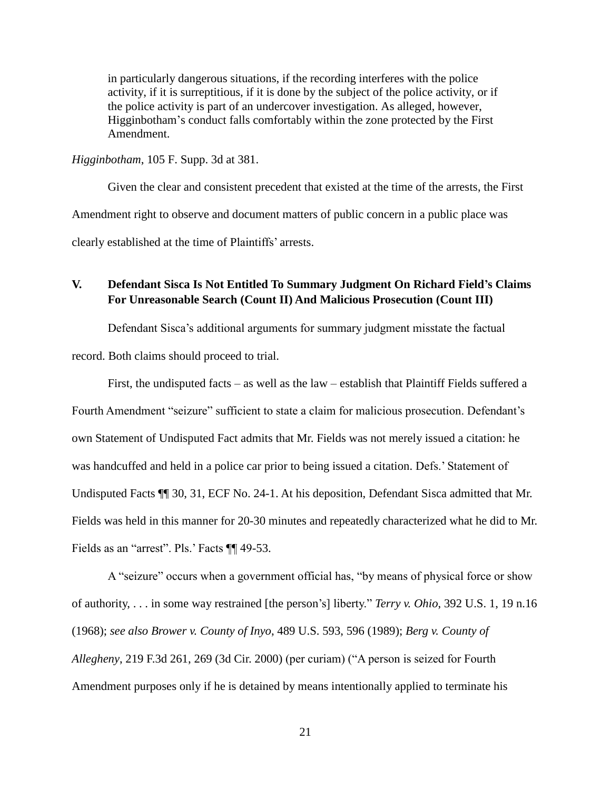in particularly dangerous situations, if the recording interferes with the police activity, if it is surreptitious, if it is done by the subject of the police activity, or if the police activity is part of an undercover investigation. As alleged, however, Higginbotham's conduct falls comfortably within the zone protected by the First Amendment.

#### *Higginbotham*, 105 F. Supp. 3d at 381.

Given the clear and consistent precedent that existed at the time of the arrests, the First Amendment right to observe and document matters of public concern in a public place was clearly established at the time of Plaintiffs' arrests.

## **V. Defendant Sisca Is Not Entitled To Summary Judgment On Richard Field's Claims For Unreasonable Search (Count II) And Malicious Prosecution (Count III)**

Defendant Sisca's additional arguments for summary judgment misstate the factual

record. Both claims should proceed to trial.

First, the undisputed facts – as well as the law – establish that Plaintiff Fields suffered a Fourth Amendment "seizure" sufficient to state a claim for malicious prosecution. Defendant's own Statement of Undisputed Fact admits that Mr. Fields was not merely issued a citation: he was handcuffed and held in a police car prior to being issued a citation. Defs.' Statement of Undisputed Facts ¶¶ 30, 31, ECF No. 24-1. At his deposition, Defendant Sisca admitted that Mr. Fields was held in this manner for 20-30 minutes and repeatedly characterized what he did to Mr. Fields as an "arrest". Pls.' Facts ¶¶ 49-53.

A "seizure" occurs when a government official has, "by means of physical force or show of authority, . . . in some way restrained [the person's] liberty." *Terry v. Ohio*, 392 U.S. 1, 19 n.16 (1968); *see also Brower v. County of Inyo*, 489 U.S. 593, 596 (1989); *Berg v. County of Allegheny*, 219 F.3d 261, 269 (3d Cir. 2000) (per curiam) ("A person is seized for Fourth Amendment purposes only if he is detained by means intentionally applied to terminate his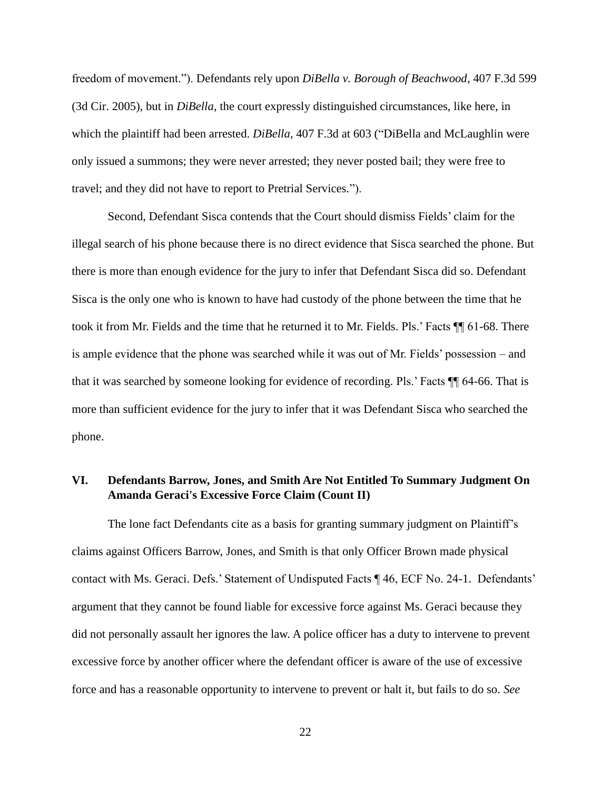freedom of movement."). Defendants rely upon *DiBella v. Borough of Beachwood*, 407 F.3d 599 (3d Cir. 2005), but in *DiBella*, the court expressly distinguished circumstances, like here, in which the plaintiff had been arrested. *DiBella*, 407 F.3d at 603 ("DiBella and McLaughlin were only issued a summons; they were never arrested; they never posted bail; they were free to travel; and they did not have to report to Pretrial Services.").

Second, Defendant Sisca contends that the Court should dismiss Fields' claim for the illegal search of his phone because there is no direct evidence that Sisca searched the phone. But there is more than enough evidence for the jury to infer that Defendant Sisca did so. Defendant Sisca is the only one who is known to have had custody of the phone between the time that he took it from Mr. Fields and the time that he returned it to Mr. Fields. Pls.' Facts ¶¶ 61-68. There is ample evidence that the phone was searched while it was out of Mr. Fields' possession – and that it was searched by someone looking for evidence of recording. Pls.' Facts ¶¶ 64-66. That is more than sufficient evidence for the jury to infer that it was Defendant Sisca who searched the phone.

## **VI. Defendants Barrow, Jones, and Smith Are Not Entitled To Summary Judgment On Amanda Geraci's Excessive Force Claim (Count II)**

The lone fact Defendants cite as a basis for granting summary judgment on Plaintiff's claims against Officers Barrow, Jones, and Smith is that only Officer Brown made physical contact with Ms. Geraci. Defs.' Statement of Undisputed Facts ¶ 46, ECF No. 24-1. Defendants' argument that they cannot be found liable for excessive force against Ms. Geraci because they did not personally assault her ignores the law. A police officer has a duty to intervene to prevent excessive force by another officer where the defendant officer is aware of the use of excessive force and has a reasonable opportunity to intervene to prevent or halt it, but fails to do so. *See*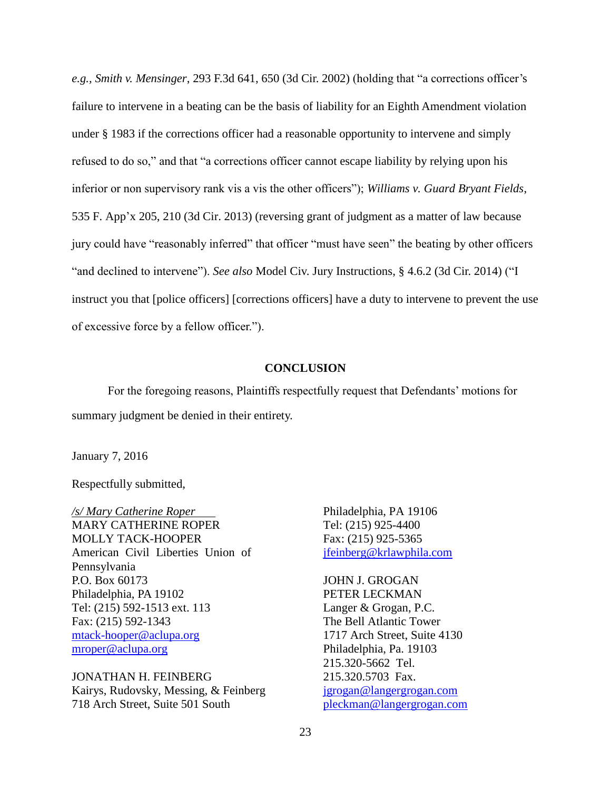*e.g., Smith v. Mensinger*, 293 F.3d 641, 650 (3d Cir. 2002) (holding that "a corrections officer's failure to intervene in a beating can be the basis of liability for an Eighth Amendment violation under § 1983 if the corrections officer had a reasonable opportunity to intervene and simply refused to do so," and that "a corrections officer cannot escape liability by relying upon his inferior or non supervisory rank vis a vis the other officers"); *Williams v. Guard Bryant Fields*, 535 F. App'x 205, 210 (3d Cir. 2013) (reversing grant of judgment as a matter of law because jury could have "reasonably inferred" that officer "must have seen" the beating by other officers "and declined to intervene"). *See also* Model Civ. Jury Instructions, § 4.6.2 (3d Cir. 2014) ("I instruct you that [police officers] [corrections officers] have a duty to intervene to prevent the use of excessive force by a fellow officer.").

#### **CONCLUSION**

For the foregoing reasons, Plaintiffs respectfully request that Defendants' motions for summary judgment be denied in their entirety.

January 7, 2016

Respectfully submitted,

*/s/ Mary Catherine Roper* MARY CATHERINE ROPER MOLLY TACK-HOOPER American Civil Liberties Union of Pennsylvania P.O. Box 60173 Philadelphia, PA 19102 Tel: (215) 592-1513 ext. 113 Fax: (215) 592-1343 [mtack-hooper@aclupa.org](mailto:mtack-hooper@aclupa.org) [mroper@aclupa.org](mailto:mroper@aclupa.org)

JONATHAN H. FEINBERG Kairys, Rudovsky, Messing, & Feinberg 718 Arch Street, Suite 501 South

Philadelphia, PA 19106 Tel: (215) 925-4400 Fax: (215) 925-5365 [jfeinberg@krlawphila.com](mailto:jfeinberg@krlawphila.com)

JOHN J. GROGAN PETER LECKMAN Langer & Grogan, P.C. The Bell Atlantic Tower 1717 Arch Street, Suite 4130 Philadelphia, Pa. 19103 215.320-5662 Tel. 215.320.5703 Fax. [jgrogan@langergrogan.com](mailto:jgrogan@langergrogan.com) [pleckman@langergrogan.com](mailto:pleckman@langergrogan.com)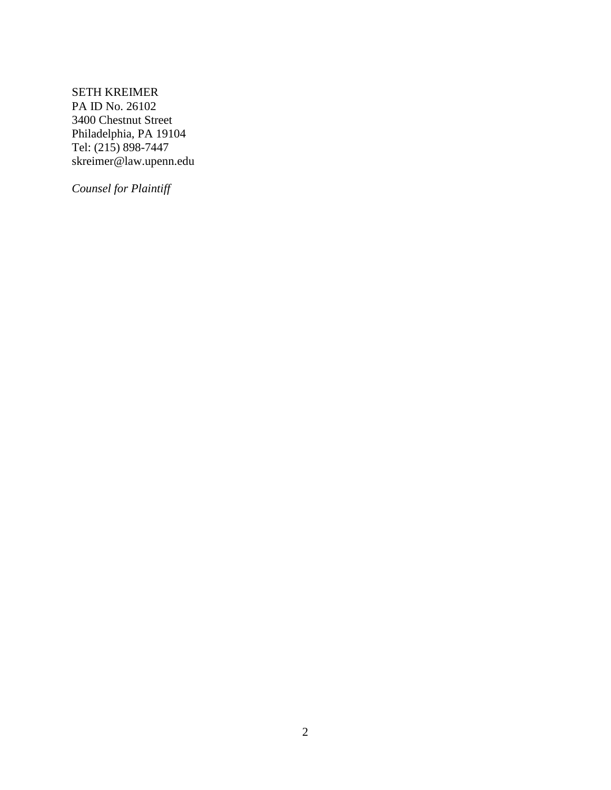SETH KREIMER PA ID No. 26102 3400 Chestnut Street Philadelphia, PA 19104 Tel: (215) 898-7447 skreimer@law.upenn.edu

*Counsel for Plaintiff*